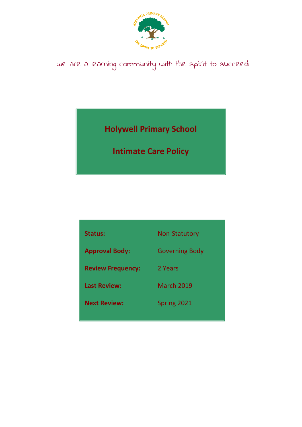

# we are a learning community with the spirit to succeed

**Holywell Primary School**

**Intimate Care Policy**

| <b>Status:</b>           | <b>Non-Statutory</b>  |
|--------------------------|-----------------------|
| <b>Approval Body:</b>    | <b>Governing Body</b> |
| <b>Review Frequency:</b> | 2 Years               |
| <b>Last Review:</b>      | March 2019            |
| <b>Next Review:</b>      | Spring 2021           |
|                          |                       |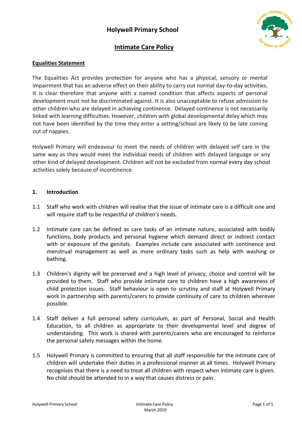### **Holywell Primary School**



### **Intimate Care Policy**

#### **Equalities Statement**

The Equalities Act provides protection for anyone who has a physical, sensory or mental impairment that has an adverse effect on their ability to carry out normal day-to-day activities. It is clear therefore that anyone with a named condition that affects aspects of personal development must not be discriminated against. It is also unacceptable to refuse admission to other children who are delayed in achieving continence. Delayed continence is not necessarily linked with learning difficulties. However, children with global developmental delay which may not have been identified by the time they enter a setting/school are likely to be late coming out of nappies.

Holywell Primary will endeavour to meet the needs of children with delayed self care in the same way as they would meet the individual needs of children with delayed language or any other kind of delayed development. Children will not be excluded from normal every day school activities solely because of incontinence.

#### **1. Introduction**

- 1.1 Staff who work with children will realise that the issue of intimate care is a difficult one and will require staff to be respectful of children's needs.
- 1.2 Intimate care can be defined as care tasks of an intimate nature, associated with bodily functions, body products and personal hygiene which demand direct or indirect contact with or exposure of the genitals. Examples include care associated with continence and menstrual management as well as more ordinary tasks such as help with washing or bathing.
- 1.3 Children's dignity will be preserved and a high level of privacy, choice and control will be provided to them. Staff who provide intimate care to children have a high awareness of child protection issues. Staff behaviour is open to scrutiny and staff at Holywell Primary work in partnership with parents/carers to provide continuity of care to children wherever possible.
- 1.4 Staff deliver a full personal safety curriculum, as part of Personal, Social and Health Education, to all children as appropriate to their developmental level and degree of understanding. This work is shared with parents/carers who are encouraged to reinforce the personal safety messages within the home.
- 1.5 Holywell Primary is committed to ensuring that all staff responsible for the intimate care of children will undertake their duties in a professional manner at all times. Holywell Primary recognises that there is a need to treat all children with respect when intimate care is given. No child should be attended to in a way that causes distress or pain.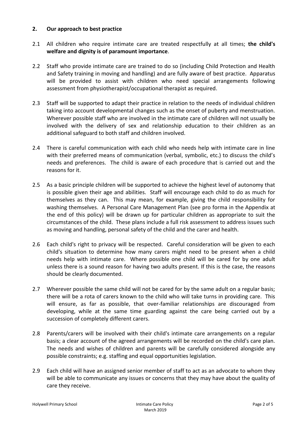#### **2. Our approach to best practice**

- 2.1 All children who require intimate care are treated respectfully at all times; **the child's welfare and dignity is of paramount importance**.
- 2.2 Staff who provide intimate care are trained to do so (including Child Protection and Health and Safety training in moving and handling) and are fully aware of best practice. Apparatus will be provided to assist with children who need special arrangements following assessment from physiotherapist/occupational therapist as required.
- 2.3 Staff will be supported to adapt their practice in relation to the needs of individual children taking into account developmental changes such as the onset of puberty and menstruation. Wherever possible staff who are involved in the intimate care of children will not usually be involved with the delivery of sex and relationship education to their children as an additional safeguard to both staff and children involved.
- 2.4 There is careful communication with each child who needs help with intimate care in line with their preferred means of communication (verbal, symbolic, etc.) to discuss the child's needs and preferences. The child is aware of each procedure that is carried out and the reasons for it.
- 2.5 As a basic principle children will be supported to achieve the highest level of autonomy that is possible given their age and abilities. Staff will encourage each child to do as much for themselves as they can. This may mean, for example, giving the child responsibility for washing themselves. A Personal Care Management Plan (see pro forma in the Appendix at the end of this policy) will be drawn up for particular children as appropriate to suit the circumstances of the child. These plans include a full risk assessment to address issues such as moving and handling, personal safety of the child and the carer and health.
- 2.6 Each child's right to privacy will be respected. Careful consideration will be given to each child's situation to determine how many carers might need to be present when a child needs help with intimate care. Where possible one child will be cared for by one adult unless there is a sound reason for having two adults present. If this is the case, the reasons should be clearly documented.
- 2.7 Wherever possible the same child will not be cared for by the same adult on a regular basis; there will be a rota of carers known to the child who will take turns in providing care. This will ensure, as far as possible, that over-familiar relationships are discouraged from developing, while at the same time guarding against the care being carried out by a succession of completely different carers.
- 2.8 Parents/carers will be involved with their child's intimate care arrangements on a regular basis; a clear account of the agreed arrangements will be recorded on the child's care plan. The needs and wishes of children and parents will be carefully considered alongside any possible constraints; e.g. staffing and equal opportunities legislation.
- 2.9 Each child will have an assigned senior member of staff to act as an advocate to whom they will be able to communicate any issues or concerns that they may have about the quality of care they receive.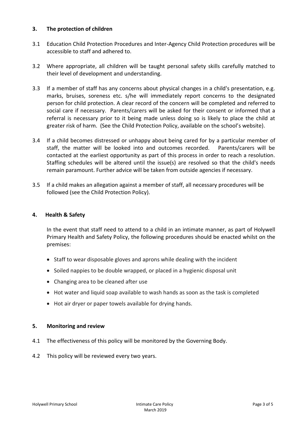#### **3. The protection of children**

- 3.1 Education Child Protection Procedures and Inter-Agency Child Protection procedures will be accessible to staff and adhered to.
- 3.2 Where appropriate, all children will be taught personal safety skills carefully matched to their level of development and understanding.
- 3.3 If a member of staff has any concerns about physical changes in a child's presentation, e.g. marks, bruises, soreness etc. s/he will immediately report concerns to the designated person for child protection. A clear record of the concern will be completed and referred to social care if necessary. Parents/carers will be asked for their consent or informed that a referral is necessary prior to it being made unless doing so is likely to place the child at greater risk of harm. (See the Child Protection Policy, available on the school's website).
- 3.4 If a child becomes distressed or unhappy about being cared for by a particular member of staff, the matter will be looked into and outcomes recorded. Parents/carers will be contacted at the earliest opportunity as part of this process in order to reach a resolution. Staffing schedules will be altered until the issue(s) are resolved so that the child's needs remain paramount. Further advice will be taken from outside agencies if necessary.
- 3.5 If a child makes an allegation against a member of staff, all necessary procedures will be followed (see the Child Protection Policy).

#### **4. Health & Safety**

In the event that staff need to attend to a child in an intimate manner, as part of Holywell Primary Health and Safety Policy, the following procedures should be enacted whilst on the premises:

- Staff to wear disposable gloves and aprons while dealing with the incident
- Soiled nappies to be double wrapped, or placed in a hygienic disposal unit
- Changing area to be cleaned after use
- Hot water and liquid soap available to wash hands as soon as the task is completed
- Hot air dryer or paper towels available for drying hands.

#### **5. Monitoring and review**

- 4.1 The effectiveness of this policy will be monitored by the Governing Body.
- 4.2 This policy will be reviewed every two years.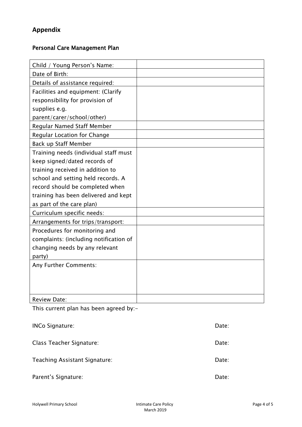# **Appendix**

# Personal Care Management Plan

| Child / Young Person's Name:           |  |
|----------------------------------------|--|
| Date of Birth:                         |  |
| Details of assistance required:        |  |
| Facilities and equipment: (Clarify     |  |
| responsibility for provision of        |  |
| supplies e.g.                          |  |
| parent/carer/school/other)             |  |
| Regular Named Staff Member             |  |
| <b>Regular Location for Change</b>     |  |
| Back up Staff Member                   |  |
| Training needs (individual staff must  |  |
| keep signed/dated records of           |  |
| training received in addition to       |  |
| school and setting held records. A     |  |
| record should be completed when        |  |
| training has been delivered and kept   |  |
| as part of the care plan)              |  |
| Curriculum specific needs:             |  |
| Arrangements for trips/transport:      |  |
| Procedures for monitoring and          |  |
| complaints: (including notification of |  |
| changing needs by any relevant         |  |
| party)                                 |  |
| Any Further Comments:                  |  |
|                                        |  |
|                                        |  |
|                                        |  |
| <b>Review Date:</b>                    |  |

This current plan has been agreed by:-

| <b>INCo Signature:</b>        | Date: |
|-------------------------------|-------|
| Class Teacher Signature:      | Date: |
| Teaching Assistant Signature: | Date: |
| Parent's Signature:           | Date: |